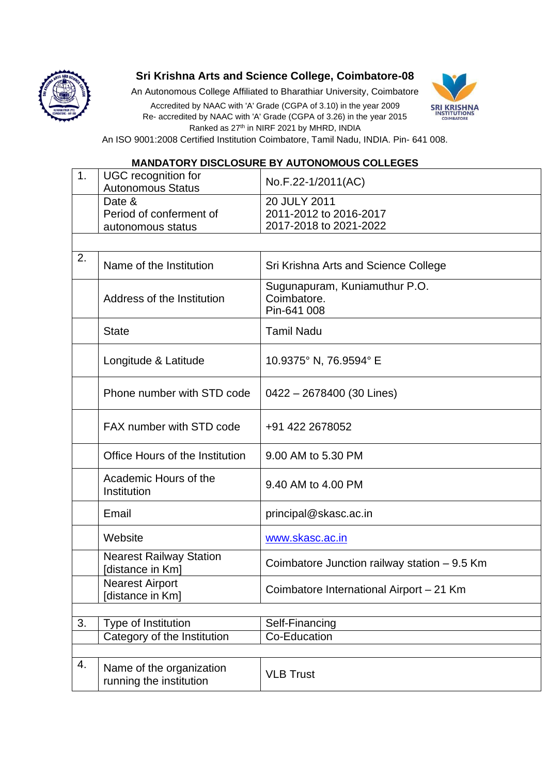

## **Sri Krishna Arts and Science College, Coimbatore-08**

An Autonomous College Affiliated to Bharathiar University, Coimbatore

Accredited by NAAC with 'A' Grade (CGPA of 3.10) in the year 2009 Re- accredited by NAAC with 'A' Grade (CGPA of 3.26) in the year 2015 Ranked as 27<sup>th</sup> in NIRF 2021 by MHRD, INDIA



An ISO 9001:2008 Certified Institution Coimbatore, Tamil Nadu, INDIA. Pin- 641 008.

## **MANDATORY DISCLOSURE BY AUTONOMOUS COLLEGES**

| 1. | <b>UGC</b> recognition for<br><b>Autonomous Status</b> | No.F.22-1/2011(AC)                                               |
|----|--------------------------------------------------------|------------------------------------------------------------------|
|    | Date &<br>Period of conferment of<br>autonomous status | 20 JULY 2011<br>2011-2012 to 2016-2017<br>2017-2018 to 2021-2022 |
|    |                                                        |                                                                  |
| 2. | Name of the Institution                                | Sri Krishna Arts and Science College                             |
|    | Address of the Institution                             | Sugunapuram, Kuniamuthur P.O.<br>Coimbatore.<br>Pin-641 008      |
|    | <b>State</b>                                           | <b>Tamil Nadu</b>                                                |
|    | Longitude & Latitude                                   | 10.9375° N, 76.9594° E                                           |
|    | Phone number with STD code                             | 0422 - 2678400 (30 Lines)                                        |
|    | FAX number with STD code                               | +91 422 2678052                                                  |
|    | Office Hours of the Institution                        | 9.00 AM to 5.30 PM                                               |
|    | Academic Hours of the<br>Institution                   | 9.40 AM to 4.00 PM                                               |
|    | Email                                                  | principal@skasc.ac.in                                            |
|    | Website                                                | www.skasc.ac.in                                                  |
|    | <b>Nearest Railway Station</b><br>[distance in Km]     | Coimbatore Junction railway station - 9.5 Km                     |
|    | <b>Nearest Airport</b><br>[distance in Km]             | Coimbatore International Airport - 21 Km                         |
| 3. | Type of Institution                                    | Self-Financing                                                   |
|    | Category of the Institution                            | Co-Education                                                     |
|    |                                                        |                                                                  |
| 4. | Name of the organization<br>running the institution    | <b>VLB Trust</b>                                                 |